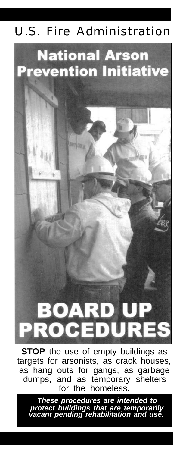### U.S. Fire Administration

### **National Arson Prevention Initiative**

**ATT SEA** 

# BOAR **PROCEDUR**

**STOP** the use of empty buildings as targets for arsonists, as crack houses, as hang outs for gangs, as garbage<br>dumps, and as temporary shelters and as temporary shelters for the homeless.

*These procedures are intended to protect buildings that are temporarily vacant pending rehabilitation and use.*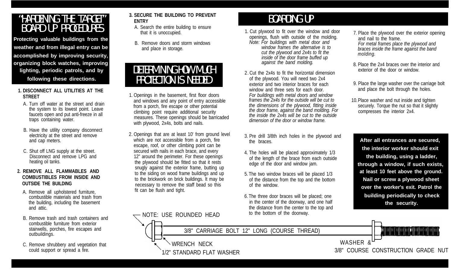## "HARDENING THE TARGET" BOARD UP PROCEDURES

**Protecting valuable buildings from the weather and from illegal entry can be accomplished by improving security, organizing block watches, improving lighting, periodic patrols, and by following these directions.**

- **1. DISCONNECT ALL UTILITIES AT THE STREET**
	- A. Turn off water at the street and drain the system to its lowest point. Leave faucets open and put anti-freeze in all traps containing water.
	- B. Have the utility company disconnect electricity at the street and remove and cap meters.
	- C. Shut off LNG supply at the street. Disconnect and remove LPG and heating oil tanks.

#### **2. REMOVE ALL FLAMMABLES AND COMBUSTIBLES FROM INSIDE AND OUTSIDE THE BUILDING**

- A. Remove all upholstered furniture, combustible materials and trash from the building, including the basement and attic.
- B. Remove trash and trash containers and combustible furniture from exterior stairwells, porches, fire escapes and outbuildings.
- C. Remove shrubbery and vegetation that could support or spread a fire.
- **3. SECURE THE BUILDING TO PREVENT ENTRY**
	- A. Search the entire building to ensure that it is unoccupied.
- B. Remove doors and storm windows and place in storage.

## DETERMINING HOW MUCH PROTECTION IS NEEDED

- 1. Openings in the basement, first floor doors and windows and any point of entry accessible from a porch, fire escape or other potential climbing point require additional security measures. These openings should be barricaded with plywood, 2x4s, bolts and nails.
- 2. Openings that are at least 10' from ground level which are not accessible from a porch, fire escape, roof, or other climbing point can be secured with nails in each brace, and every 12" around the perimeter. For these openings the plywood should be fitted so that it rests snugly against the exterior frame, butting up to the siding on wood frame buildings and up to the brickwork on brick buildings. It may be necessary to remove the staff bead so this fit can be flush and tight.

### BOARDING UP

- 1. Cut plywood to fit over the window and door openings, flush with outside of the molding. *Note: For buildings with metal door and window frames the alternative is to cut the plywood and 2x4s to fit the inside of the door frame buffed up against the band molding.*
- 2. Cut the 2x4s to fit the horizontal dimension of the plywood. You will need two 2x4 exterior and two interior braces for each window and three sets for each door. *For buildings with metal doors and window frames the 2x4s for the outside will be cut to the dimensions of the plywood, fitting inside the door frame, against the band molding. For the inside the 2x4s will be cut to the outside dimension of the door or window frame.*
- 3. Pre drill 3/8th inch holes in the plywood and the braces.
- 4. The holes will be placed approximately 1/3 of the length of the brace from each outside edge of the door and window jam.
- 5. The two window braces will be placed 1/3 of the distance from the top and the bottom of the window.
- 6.The three door braces will be placed; one in the center of the doorway, and one half the distance from the center to the top and to the bottom of the doorway.
- 7. Place the plywood over the exterior opening and nail to the frame. *For metal frames place the plywood and braces inside the frame against the band molding.*
- 8. Place the 2x4 braces over the interior and exterior of the door or window.
- 9. Place the large washer over the carriage bolt and place the bolt through the holes.
- 10.Place washer and nut inside and tighten securely. Torque the nut so that it slightly compresses the interior 2x4.

**After all entrances are secured, the interior worker should exit the building, using a ladder, through a window, if such exists, at least 10 feet above the ground. Nail or screw a plywood sheet over the worker's exit. Patrol the building periodically to check the security.**

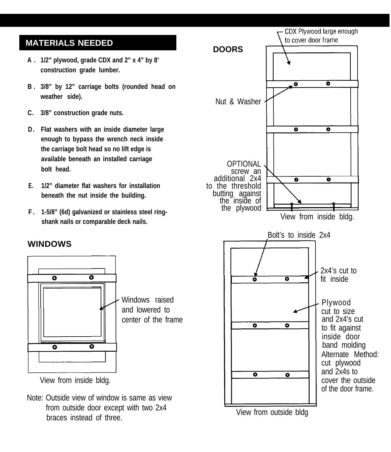#### **MATERIALS NEEDED**

- **A . 1/2" plywood, grade CDX and 2" x 4" by 8' construction grade lumber.**
- **B . 3/8" by 12" carriage bolts (rounded head on weather side).**
- **C. 3/8" construction grade nuts.**
- **D . Flat washers with an inside diameter large enough to bypass the wrench neck inside the carriage bolt head so no lift edge is available beneath an installed carriage bolt head.**
- **E. 1/2" diameter flat washers for installation beneath the nut inside the building.**
- **F . 1-5/8" (6d) galvanized or stainless steel ringshank nails or comparable deck nails.**

#### **WINDOWS**



View from inside bldg.

Note: Outside view of window is same as view from outside door except with two 2x4 braces instead of three.



View from outside bldg